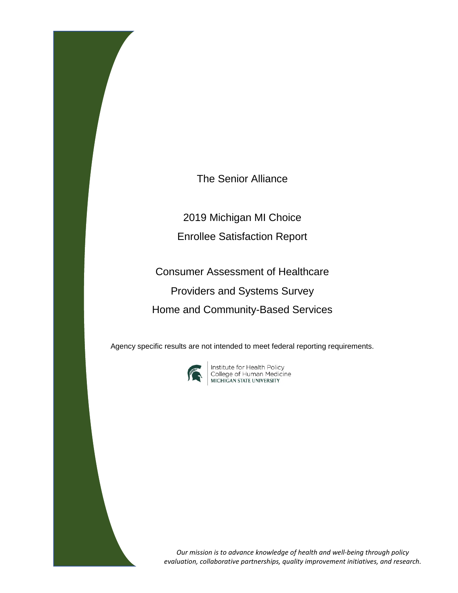The Senior Alliance

2019 Michigan MI Choice Enrollee Satisfaction Report

Consumer Assessment of Healthcare Providers and Systems Survey Home and Community-Based Services

Agency specific results are not intended to meet federal reporting requirements.



**Institute for Health Policy<br>College of Human Medicine<br>MICHIGAN STATE UNIVERSITY** 

*Our mission is to advance knowledge of health and well-being through policy evaluation, collaborative partnerships, quality improvement initiatives, and research.*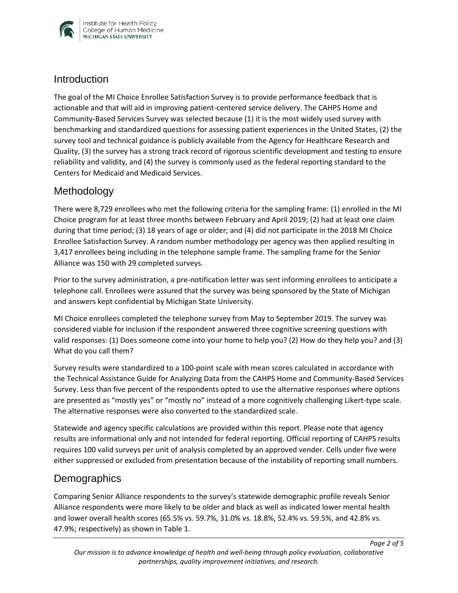

### **Introduction**

The goal of the MI Choice Enrollee Satisfaction Survey is to provide performance feedback that is actionable and that will aid in improving patient-centered service delivery. The CAHPS Home and Community-Based Services Survey was selected because (1) it is the most widely used survey with benchmarking and standardized questions for assessing patient experiences in the United States, (2) the survey tool and technical guidance is publicly available from the Agency for Healthcare Research and Quality, (3) the survey has a strong track record of rigorous scientific development and testing to ensure reliability and validity, and (4) the survey is commonly used as the federal reporting standard to the Centers for Medicaid and Medicaid Services.

## Methodology

There were 8,729 enrollees who met the following criteria for the sampling frame: (1) enrolled in the MI Choice program for at least three months between February and April 2019; (2) had at least one claim during that time period; (3) 18 years of age or older; and (4) did not participate in the 2018 MI Choice Enrollee Satisfaction Survey. A random number methodology per agency was then applied resulting in 3,417 enrollees being including in the telephone sample frame. The sampling frame for the Senior Alliance was 150 with 29 completed surveys.

Prior to the survey administration, a pre-notification letter was sent informing enrollees to anticipate a telephone call. Enrollees were assured that the survey was being sponsored by the State of Michigan and answers kept confidential by Michigan State University.

MI Choice enrollees completed the telephone survey from May to September 2019. The survey was considered viable for inclusion if the respondent answered three cognitive screening questions with valid responses: (1) Does someone come into your home to help you? (2) How do they help you? and (3) What do you call them?

Survey results were standardized to a 100-point scale with mean scores calculated in accordance with the Technical Assistance Guide for Analyzing Data from the CAHPS Home and Community-Based Services Survey. Less than five percent of the respondents opted to use the alternative responses where options are presented as "mostly yes" or "mostly no" instead of a more cognitively challenging Likert-type scale. The alternative responses were also converted to the standardized scale.

Statewide and agency specific calculations are provided within this report. Please note that agency results are informational only and not intended for federal reporting. Official reporting of CAHPS results requires 100 valid surveys per unit of analysis completed by an approved vender. Cells under five were either suppressed or excluded from presentation because of the instability of reporting small numbers.

## **Demographics**

Comparing Senior Alliance respondents to the survey's statewide demographic profile reveals Senior Alliance respondents were more likely to be older and black as well as indicated lower mental health and lower overall health scores (65.5% vs. 59.7%, 31.0% vs. 18.8%, 52.4% vs. 59.5%, and 42.8% vs. 47.9%; respectively) as shown in Table 1.

*Page 2 of 5*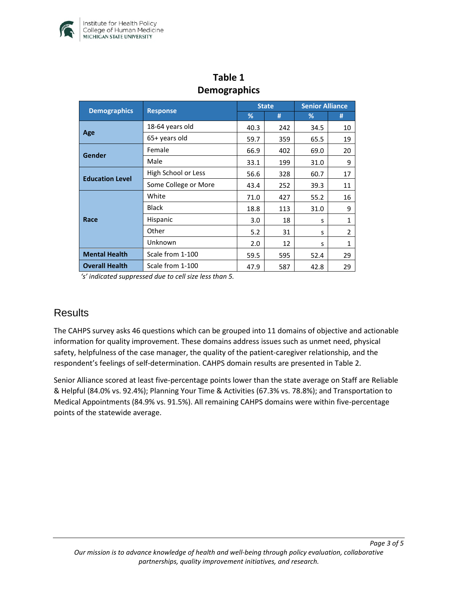

| $\mathbf{a} \cdot \mathbf{r}$ |                      |              |     |                        |                |  |  |  |  |
|-------------------------------|----------------------|--------------|-----|------------------------|----------------|--|--|--|--|
| <b>Demographics</b>           | <b>Response</b>      | <b>State</b> |     | <b>Senior Alliance</b> |                |  |  |  |  |
|                               |                      | %            | #   | ℅                      | #              |  |  |  |  |
| Age                           | 18-64 years old      | 40.3         | 242 | 34.5                   | 10             |  |  |  |  |
|                               | 65+ years old        | 59.7         | 359 | 65.5                   | 19             |  |  |  |  |
| Gender                        | Female               | 66.9         | 402 | 69.0                   | 20             |  |  |  |  |
|                               | Male                 | 33.1         | 199 | 31.0                   | 9              |  |  |  |  |
| <b>Education Level</b>        | High School or Less  | 56.6         | 328 | 60.7                   | 17             |  |  |  |  |
|                               | Some College or More | 43.4         | 252 | 39.3                   | 11             |  |  |  |  |
| Race                          | White                | 71.0         | 427 | 55.2                   | 16             |  |  |  |  |
|                               | <b>Black</b>         | 18.8         | 113 | 31.0                   | 9              |  |  |  |  |
|                               | Hispanic             | 3.0          | 18  | S                      | $\mathbf{1}$   |  |  |  |  |
|                               | Other                | 5.2          | 31  | s                      | $\overline{2}$ |  |  |  |  |
|                               | Unknown              | 2.0          | 12  | S                      | $\mathbf{1}$   |  |  |  |  |
| <b>Mental Health</b>          | Scale from 1-100     | 59.5         | 595 | 52.4                   | 29             |  |  |  |  |
| <b>Overall Health</b>         | Scale from 1-100     | 47.9         | 587 | 42.8                   | 29             |  |  |  |  |

## **Table 1 Demographics**

*'s' indicated suppressed due to cell size less than 5.* 

## **Results**

The CAHPS survey asks 46 questions which can be grouped into 11 domains of objective and actionable information for quality improvement. These domains address issues such as unmet need, physical safety, helpfulness of the case manager, the quality of the patient-caregiver relationship, and the respondent's feelings of self-determination. CAHPS domain results are presented in Table 2.

Senior Alliance scored at least five-percentage points lower than the state average on Staff are Reliable & Helpful (84.0% vs. 92.4%); Planning Your Time & Activities (67.3% vs. 78.8%); and Transportation to Medical Appointments (84.9% vs. 91.5%). All remaining CAHPS domains were within five-percentage points of the statewide average.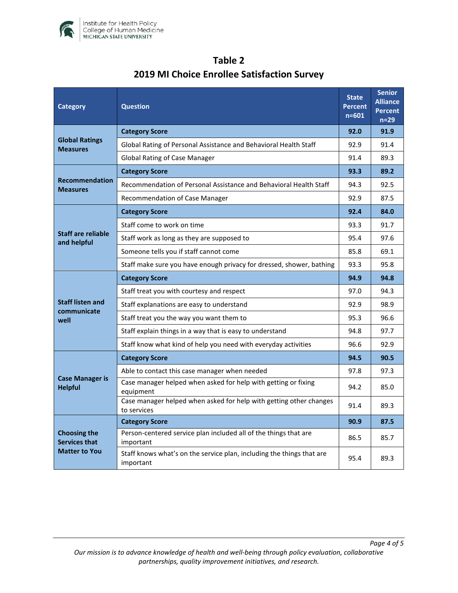

| <b>Category</b>                                                     | <b>Question</b>                                                                    |      | <b>Senior</b><br><b>Alliance</b><br><b>Percent</b><br>$n=29$ |
|---------------------------------------------------------------------|------------------------------------------------------------------------------------|------|--------------------------------------------------------------|
| <b>Global Ratings</b><br><b>Measures</b>                            | <b>Category Score</b>                                                              |      | 91.9                                                         |
|                                                                     | Global Rating of Personal Assistance and Behavioral Health Staff                   |      | 91.4                                                         |
|                                                                     | <b>Global Rating of Case Manager</b>                                               | 91.4 | 89.3                                                         |
| <b>Recommendation</b><br><b>Measures</b>                            | <b>Category Score</b>                                                              | 93.3 | 89.2                                                         |
|                                                                     | Recommendation of Personal Assistance and Behavioral Health Staff                  | 94.3 | 92.5                                                         |
|                                                                     | Recommendation of Case Manager                                                     | 92.9 | 87.5                                                         |
| Staff are reliable<br>and helpful                                   | <b>Category Score</b>                                                              | 92.4 | 84.0                                                         |
|                                                                     | Staff come to work on time                                                         | 93.3 | 91.7                                                         |
|                                                                     | Staff work as long as they are supposed to                                         | 95.4 | 97.6                                                         |
|                                                                     | Someone tells you if staff cannot come                                             | 85.8 | 69.1                                                         |
|                                                                     | Staff make sure you have enough privacy for dressed, shower, bathing               | 93.3 | 95.8                                                         |
| <b>Staff listen and</b><br>communicate<br>well                      | <b>Category Score</b>                                                              | 94.9 | 94.8                                                         |
|                                                                     | Staff treat you with courtesy and respect                                          | 97.0 | 94.3                                                         |
|                                                                     | Staff explanations are easy to understand                                          | 92.9 | 98.9                                                         |
|                                                                     | Staff treat you the way you want them to                                           | 95.3 | 96.6                                                         |
|                                                                     | Staff explain things in a way that is easy to understand                           | 94.8 | 97.7                                                         |
|                                                                     | Staff know what kind of help you need with everyday activities                     | 96.6 | 92.9                                                         |
| <b>Case Manager is</b><br><b>Helpful</b>                            | <b>Category Score</b>                                                              | 94.5 | 90.5                                                         |
|                                                                     | Able to contact this case manager when needed                                      | 97.8 | 97.3                                                         |
|                                                                     | Case manager helped when asked for help with getting or fixing<br>equipment        | 94.2 | 85.0                                                         |
|                                                                     | Case manager helped when asked for help with getting other changes<br>to services  | 91.4 | 89.3                                                         |
| <b>Choosing the</b><br><b>Services that</b><br><b>Matter to You</b> | <b>Category Score</b>                                                              | 90.9 | 87.5                                                         |
|                                                                     | Person-centered service plan included all of the things that are<br>important      | 86.5 | 85.7                                                         |
|                                                                     | Staff knows what's on the service plan, including the things that are<br>important | 95.4 | 89.3                                                         |

# **Table 2 2019 MI Choice Enrollee Satisfaction Survey**